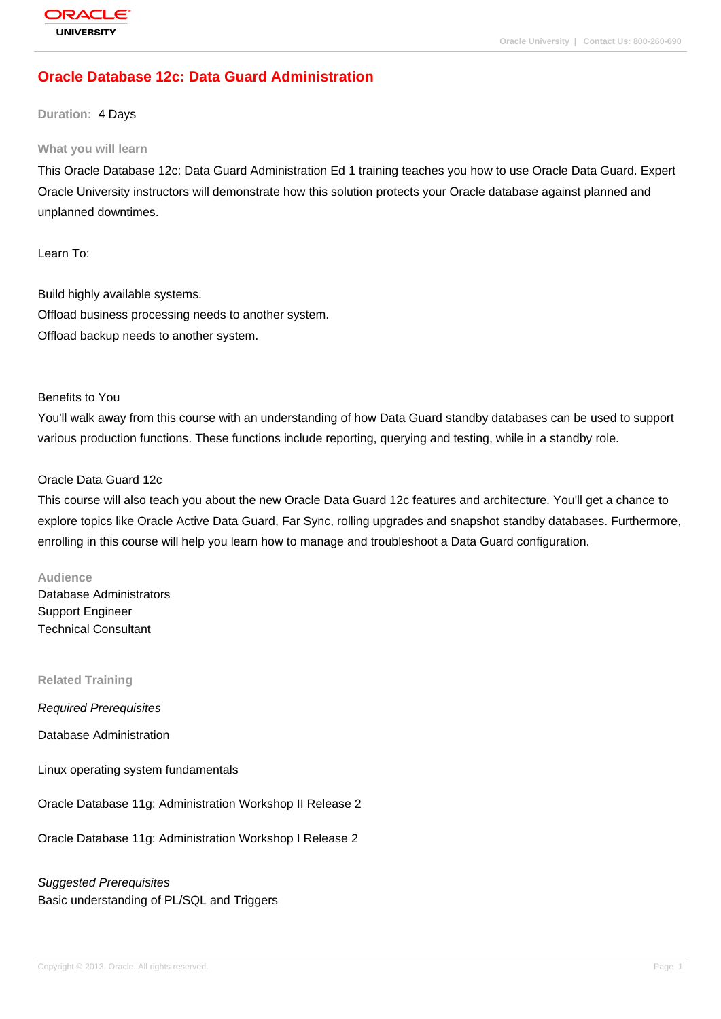# **[Oracle Databas](http://education.oracle.com/pls/web_prod-plq-dad/db_pages.getpage?page_id=3)e 12c: Data Guard Administration**

#### **Duration:** 4 Days

#### **What you will learn**

This Oracle Database 12c: Data Guard Administration Ed 1 training teaches you how to use Oracle Data Guard. Expert Oracle University instructors will demonstrate how this solution protects your Oracle database against planned and unplanned downtimes.

Learn To:

Build highly available systems. Offload business processing needs to another system. Offload backup needs to another system.

#### Benefits to You

You'll walk away from this course with an understanding of how Data Guard standby databases can be used to support various production functions. These functions include reporting, querying and testing, while in a standby role.

#### Oracle Data Guard 12c

This course will also teach you about the new Oracle Data Guard 12c features and architecture. You'll get a chance to explore topics like Oracle Active Data Guard, Far Sync, rolling upgrades and snapshot standby databases. Furthermore, enrolling in this course will help you learn how to manage and troubleshoot a Data Guard configuration.

#### **Audience**

Database Administrators Support Engineer Technical Consultant

#### **Related Training**

Required Prerequisites

Database Administration

Linux operating system fundamentals

Oracle Database 11g: Administration Workshop II Release 2

Oracle Database 11g: Administration Workshop I Release 2

Suggested Prerequisites Basic understanding of PL/SQL and Triggers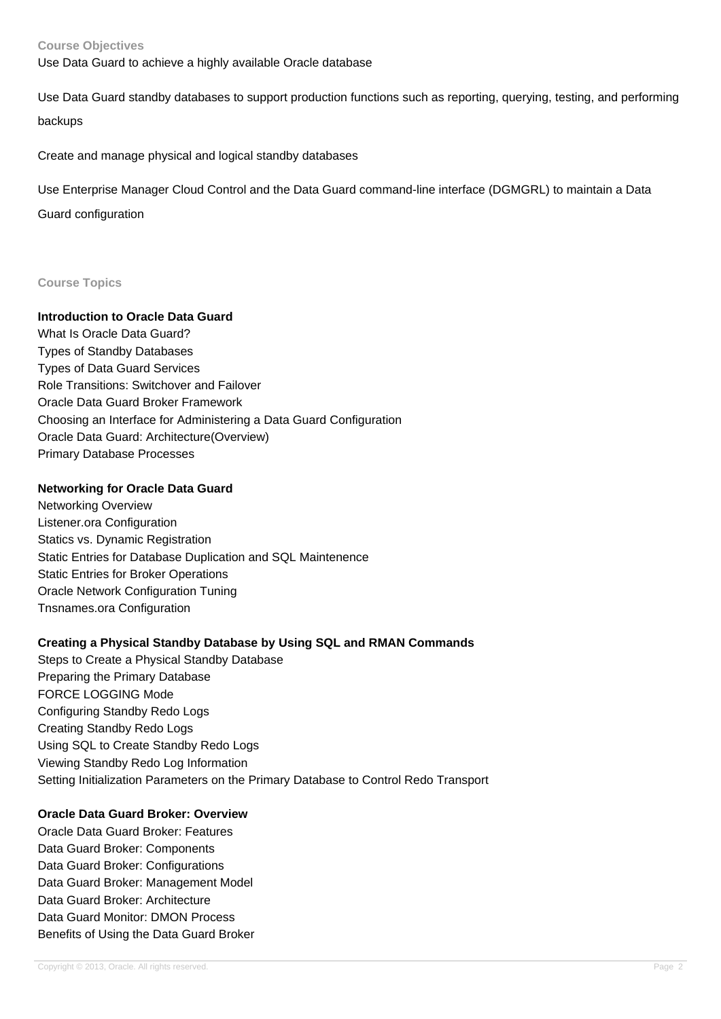#### **Course Objectives**

Use Data Guard to achieve a highly available Oracle database

Use Data Guard standby databases to support production functions such as reporting, querying, testing, and performing backups

Create and manage physical and logical standby databases

Use Enterprise Manager Cloud Control and the Data Guard command-line interface (DGMGRL) to maintain a Data Guard configuration

#### **Course Topics**

### **Introduction to Oracle Data Guard**

What Is Oracle Data Guard? Types of Standby Databases Types of Data Guard Services Role Transitions: Switchover and Failover Oracle Data Guard Broker Framework Choosing an Interface for Administering a Data Guard Configuration Oracle Data Guard: Architecture(Overview) Primary Database Processes

#### **Networking for Oracle Data Guard**

Networking Overview Listener.ora Configuration Statics vs. Dynamic Registration Static Entries for Database Duplication and SQL Maintenence Static Entries for Broker Operations Oracle Network Configuration Tuning Tnsnames.ora Configuration

#### **Creating a Physical Standby Database by Using SQL and RMAN Commands**

Steps to Create a Physical Standby Database Preparing the Primary Database FORCE LOGGING Mode Configuring Standby Redo Logs Creating Standby Redo Logs Using SQL to Create Standby Redo Logs Viewing Standby Redo Log Information Setting Initialization Parameters on the Primary Database to Control Redo Transport

### **Oracle Data Guard Broker: Overview**

Oracle Data Guard Broker: Features Data Guard Broker: Components Data Guard Broker: Configurations Data Guard Broker: Management Model Data Guard Broker: Architecture Data Guard Monitor: DMON Process Benefits of Using the Data Guard Broker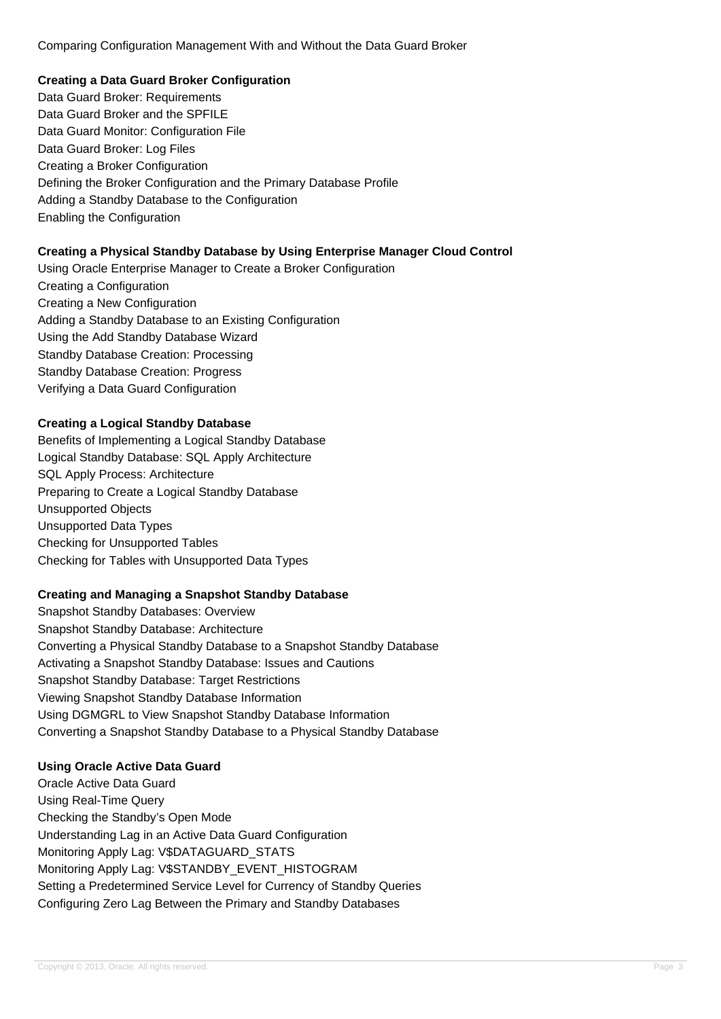Comparing Configuration Management With and Without the Data Guard Broker

## **Creating a Data Guard Broker Configuration**

Data Guard Broker: Requirements Data Guard Broker and the SPFILE Data Guard Monitor: Configuration File Data Guard Broker: Log Files Creating a Broker Configuration Defining the Broker Configuration and the Primary Database Profile Adding a Standby Database to the Configuration Enabling the Configuration

## **Creating a Physical Standby Database by Using Enterprise Manager Cloud Control**

Using Oracle Enterprise Manager to Create a Broker Configuration Creating a Configuration Creating a New Configuration Adding a Standby Database to an Existing Configuration Using the Add Standby Database Wizard Standby Database Creation: Processing Standby Database Creation: Progress Verifying a Data Guard Configuration

## **Creating a Logical Standby Database**

Benefits of Implementing a Logical Standby Database Logical Standby Database: SQL Apply Architecture SQL Apply Process: Architecture Preparing to Create a Logical Standby Database Unsupported Objects Unsupported Data Types Checking for Unsupported Tables Checking for Tables with Unsupported Data Types

### **Creating and Managing a Snapshot Standby Database**

Snapshot Standby Databases: Overview Snapshot Standby Database: Architecture Converting a Physical Standby Database to a Snapshot Standby Database Activating a Snapshot Standby Database: Issues and Cautions Snapshot Standby Database: Target Restrictions Viewing Snapshot Standby Database Information Using DGMGRL to View Snapshot Standby Database Information Converting a Snapshot Standby Database to a Physical Standby Database

# **Using Oracle Active Data Guard**

Oracle Active Data Guard Using Real-Time Query Checking the Standby's Open Mode Understanding Lag in an Active Data Guard Configuration Monitoring Apply Lag: V\$DATAGUARD\_STATS Monitoring Apply Lag: V\$STANDBY\_EVENT\_HISTOGRAM Setting a Predetermined Service Level for Currency of Standby Queries Configuring Zero Lag Between the Primary and Standby Databases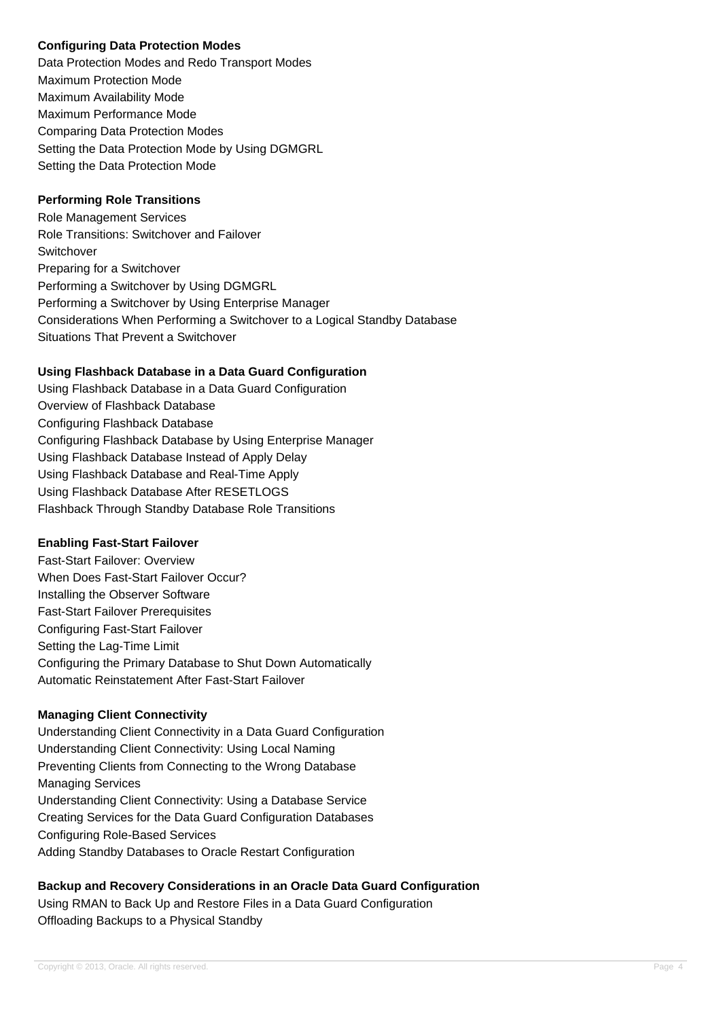## **Configuring Data Protection Modes**

Data Protection Modes and Redo Transport Modes Maximum Protection Mode Maximum Availability Mode Maximum Performance Mode Comparing Data Protection Modes Setting the Data Protection Mode by Using DGMGRL Setting the Data Protection Mode

## **Performing Role Transitions**

Role Management Services Role Transitions: Switchover and Failover Switchover Preparing for a Switchover Performing a Switchover by Using DGMGRL Performing a Switchover by Using Enterprise Manager Considerations When Performing a Switchover to a Logical Standby Database Situations That Prevent a Switchover

## **Using Flashback Database in a Data Guard Configuration**

Using Flashback Database in a Data Guard Configuration Overview of Flashback Database Configuring Flashback Database Configuring Flashback Database by Using Enterprise Manager Using Flashback Database Instead of Apply Delay Using Flashback Database and Real-Time Apply Using Flashback Database After RESETLOGS Flashback Through Standby Database Role Transitions

### **Enabling Fast-Start Failover**

Fast-Start Failover: Overview When Does Fast-Start Failover Occur? Installing the Observer Software Fast-Start Failover Prerequisites Configuring Fast-Start Failover Setting the Lag-Time Limit Configuring the Primary Database to Shut Down Automatically Automatic Reinstatement After Fast-Start Failover

### **Managing Client Connectivity**

Understanding Client Connectivity in a Data Guard Configuration Understanding Client Connectivity: Using Local Naming Preventing Clients from Connecting to the Wrong Database Managing Services Understanding Client Connectivity: Using a Database Service Creating Services for the Data Guard Configuration Databases Configuring Role-Based Services Adding Standby Databases to Oracle Restart Configuration

# **Backup and Recovery Considerations in an Oracle Data Guard Configuration**

Using RMAN to Back Up and Restore Files in a Data Guard Configuration Offloading Backups to a Physical Standby